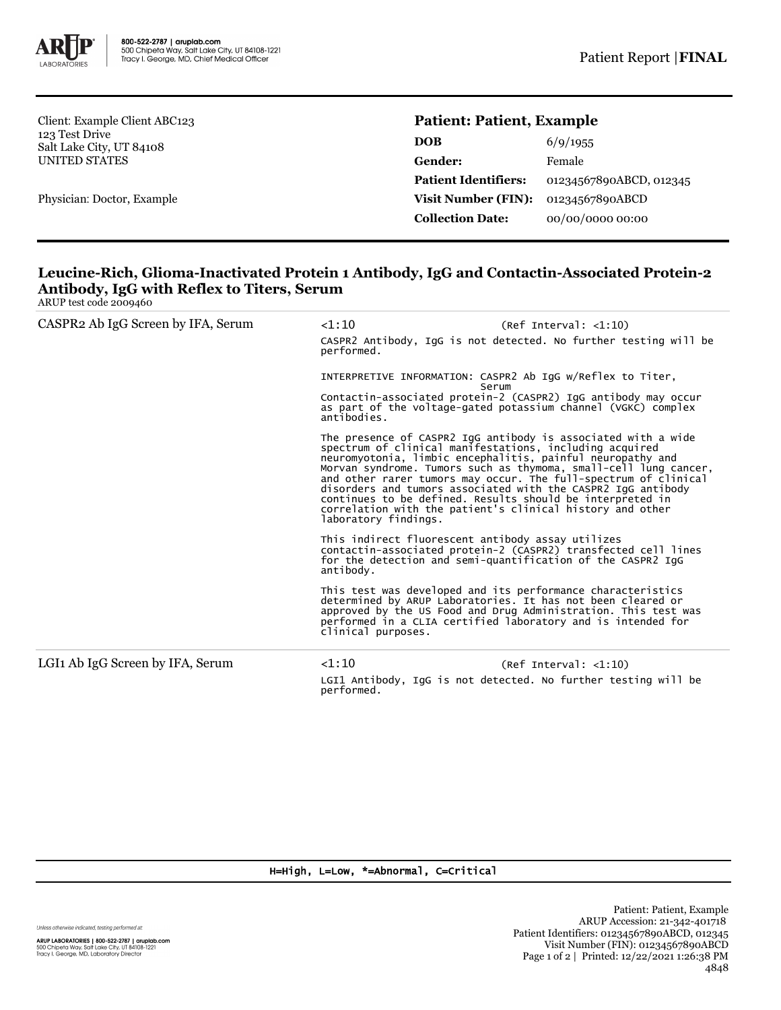

Client: Example Client ABC123 123 Test Drive Salt Lake City, UT 84108 UNITED STATES

Physician: Doctor, Example

## **Patient: Patient, Example**

| <b>DOB</b>                  | 6/9/1955                |
|-----------------------------|-------------------------|
| <b>Gender:</b>              | Female                  |
| <b>Patient Identifiers:</b> | 01234567890ABCD, 012345 |
| <b>Visit Number (FIN):</b>  | 01234567890ABCD         |
| <b>Collection Date:</b>     | 00/00/0000 00:00        |

## **Leucine-Rich, Glioma-Inactivated Protein 1 Antibody, IgG and Contactin-Associated Protein-2 Antibody, IgG with Reflex to Titers, Serum**

|  | ARUP test code 2009460 |  |
|--|------------------------|--|
|  |                        |  |

| CASPR2 Ab IgG Screen by IFA, Serum           | $<$ 1:10<br>(Ref Interval: <1:10)<br>CASPR2 Antibody, IgG is not detected. No further testing will be<br>performed.                                                                                       |                                                                                                                                                                                                                                                                                                                                    |  |
|----------------------------------------------|-----------------------------------------------------------------------------------------------------------------------------------------------------------------------------------------------------------|------------------------------------------------------------------------------------------------------------------------------------------------------------------------------------------------------------------------------------------------------------------------------------------------------------------------------------|--|
|                                              | Serum                                                                                                                                                                                                     | INTERPRETIVE INFORMATION: CASPR2 Ab IgG w/Reflex to Titer,                                                                                                                                                                                                                                                                         |  |
|                                              | antibodies.                                                                                                                                                                                               | Contactin-associated protein-2 (CASPR2) IgG antibody may occur<br>as part of the voltage-gated potassium channel (VGKC) complex                                                                                                                                                                                                    |  |
|                                              | spectrum of clinical manifestations, including acquired<br>continues to be defined. Results should be interpreted in<br>correlation with the patient's clinical history and other<br>laboratory findings. | The presence of CASPR2 IgG antibody is associated with a wide<br>neuromyotonia, limbic encephalitis, painful neuropathy and<br>Morvan syndrome. Tumors such as thymoma, small-cell lung cancer,<br>and other rarer tumors may occur. The full-spectrum of clinical<br>disorders and tumors associated with the CASPR2 IgG antibody |  |
|                                              | This indirect fluorescent antibody assay utilizes<br>antibody.                                                                                                                                            | contactin-associated protein-2 (CASPR2) transfected cell lines<br>for the detection and semi-quantification of the CASPR2 IqG                                                                                                                                                                                                      |  |
|                                              | clinical purposes.                                                                                                                                                                                        | This test was developed and its performance characteristics<br>determined by ARUP Laboratories. It has not been cleared or<br>approved by the US Food and Drug Administration. This test was<br>performed in a CLIA certified laboratory and is intended for                                                                       |  |
| LGI <sub>1</sub> Ab IgG Screen by IFA, Serum | $<$ 1:10                                                                                                                                                                                                  | (Ref Interval: <1:10)                                                                                                                                                                                                                                                                                                              |  |
|                                              | performed.                                                                                                                                                                                                | LGI1 Antibody, IgG is not detected. No further testing will be                                                                                                                                                                                                                                                                     |  |

## H=High, L=Low, \*=Abnormal, C=Critical

Unless otherwise indicated, testing performed at: